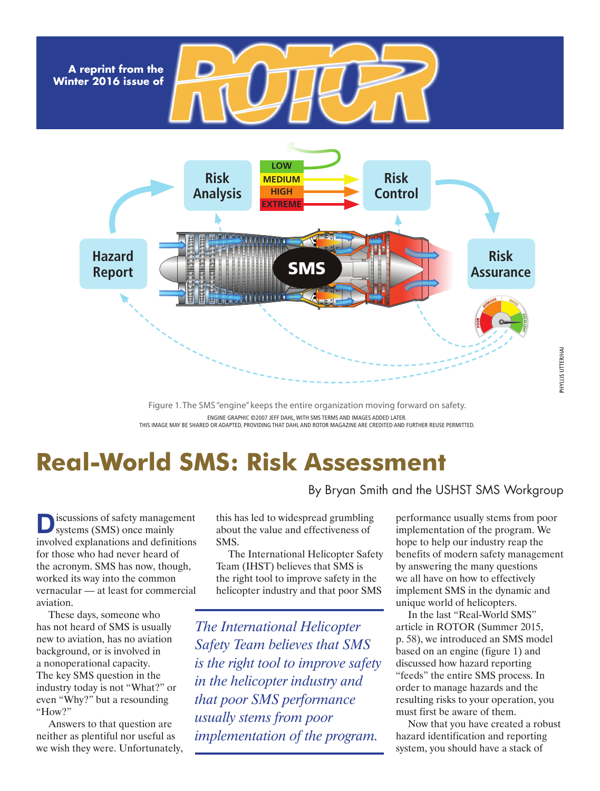**A reprint from the Winter 2016 issue of**



Figure 1. The SMS "engine" keeps the entire organization moving forward on safety. ENGINE GRAPHIC ©2007 JEFF DAHL, WITH SMS TERMS AND IMAGES ADDED LATER. THIS IMAGE MAY BE SHARED OR ADAPTED, PROVIDING THAT DAHL AND ROTOR MAGAZINE ARE CREDITED AND FURTHER REUSE PERMITTED.

# **Real-World SMS: Risk Assessment**

iscussions of safety management systems (SMS) once mainly involved explanations and definitions for those who had never heard of the acronym. SMS has now, though, worked its way into the common vernacular — at least for commercial aviation.

These days, someone who has not heard of SMS is usually new to aviation, has no aviation background, or is involved in a nonoperational capacity. The key SMS question in the industry today is not "What?" or even "Why?" but a resounding "How?"

Answers to that question are neither as plentiful nor useful as we wish they were. Unfortunately, this has led to widespread grumbling

about the value and effectiveness of SMS. The International Helicopter Safety

Team (IHST) believes that SMS is the right tool to improve safety in the helicopter industry and that poor SMS

*The International Helicopter Safety Team believes that SMS is the right tool to improve safety in the helicopter industry and that poor SMS performance usually stems from poor implementation of the program.*

performance usually stems from poor implementation of the program. We hope to help our industry reap the benefits of modern safety management by answering the many questions we all have on how to effectively implement SMS in the dynamic and unique world of helicopters.

By Bryan Smith and the USHST SMS Workgroup

In the last "Real-World SMS" article in ROTOR (Summer 2015, p. 58), we introduced an SMS model based on an engine (figure 1) and discussed how hazard reporting "feeds" the entire SMS process. In order to manage hazards and the resulting risks to your operation, you must first be aware of them.

Now that you have created a robust hazard identification and reporting system, you should have a stack of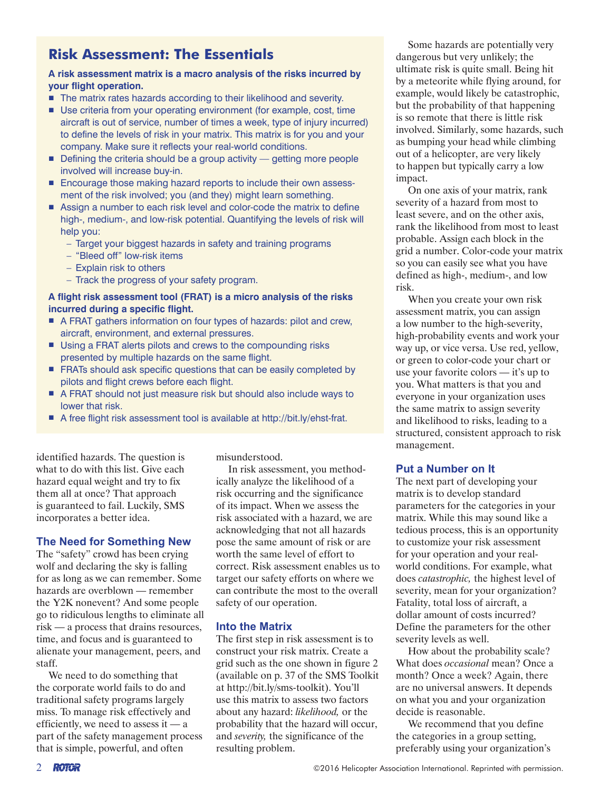# **Risk Assessment: The Essentials**

#### **A risk assessment matrix is a macro analysis of the risks incurred by your flight operation.**

- The matrix rates hazards according to their likelihood and severity.
- Use criteria from your operating environment (for example, cost, time aircraft is out of service, number of times a week, type of injury incurred) to define the levels of risk in your matrix. This matrix is for you and your company. Make sure it reflects your real-world conditions.
- $\blacksquare$  Defining the criteria should be a group activity  $\blacksquare$  getting more people involved will increase buy-in.
- Encourage those making hazard reports to include their own assessment of the risk involved; you (and they) might learn something.
- Assign a number to each risk level and color-code the matrix to define high-, medium-, and low-risk potential. Quantifying the levels of risk will help you:
	- Target your biggest hazards in safety and training programs
	- "Bleed off" low-risk items
	- Explain risk to others
	- Track the progress of your safety program.

#### **A flight risk assessment tool (FRAT) is a micro analysis of the risks incurred during a specific flight.**

- A FRAT gathers information on four types of hazards: pilot and crew, aircraft, environment, and external pressures.
- Using a FRAT alerts pilots and crews to the compounding risks presented by multiple hazards on the same flight.
- FRATs should ask specific questions that can be easily completed by pilots and flight crews before each flight.
- A FRAT should not just measure risk but should also include ways to lower that risk.
- A free flight risk assessment tool is available at http://bit.ly/ehst-frat.

identified hazards. The question is what to do with this list. Give each hazard equal weight and try to fix them all at once? That approach is guaranteed to fail. Luckily, SMS incorporates a better idea.

# **The Need for Something New**

The "safety" crowd has been crying wolf and declaring the sky is falling for as long as we can remember. Some hazards are overblown — remember the Y2K nonevent? And some people go to ridiculous lengths to eliminate all risk — a process that drains resources, time, and focus and is guaranteed to alienate your management, peers, and staff.

We need to do something that the corporate world fails to do and traditional safety programs largely miss. To manage risk effectively and efficiently, we need to assess it — a part of the safety management process that is simple, powerful, and often

misunderstood.

In risk assessment, you methodically analyze the likelihood of a risk occurring and the significance of its impact. When we assess the risk associated with a hazard, we are acknowledging that not all hazards pose the same amount of risk or are worth the same level of effort to correct. Risk assessment enables us to target our safety efforts on where we can contribute the most to the overall safety of our operation.

# **Into the Matrix**

The first step in risk assessment is to construct your risk matrix. Create a grid such as the one shown in figure 2 (available on p. 37 of the SMS Toolkit at http://bit.ly/sms-toolkit). You'll use this matrix to assess two factors about any hazard: *likelihood,* or the probability that the hazard will occur, and *severity,* the significance of the resulting problem.

Some hazards are potentially very dangerous but very unlikely; the ultimate risk is quite small. Being hit by a meteorite while flying around, for example, would likely be catastrophic, but the probability of that happening is so remote that there is little risk involved. Similarly, some hazards, such as bumping your head while climbing out of a helicopter, are very likely to happen but typically carry a low impact.

On one axis of your matrix, rank severity of a hazard from most to least severe, and on the other axis, rank the likelihood from most to least probable. Assign each block in the grid a number. Color-code your matrix so you can easily see what you have defined as high-, medium-, and low risk.

When you create your own risk assessment matrix, you can assign a low number to the high-severity, high-probability events and work your way up, or vice versa. Use red, yellow, or green to color-code your chart or use your favorite colors — it's up to you. What matters is that you and everyone in your organization uses the same matrix to assign severity and likelihood to risks, leading to a structured, consistent approach to risk management.

# **Put a Number on It**

The next part of developing your matrix is to develop standard parameters for the categories in your matrix. While this may sound like a tedious process, this is an opportunity to customize your risk assessment for your operation and your realworld conditions. For example, what does *catastrophic,* the highest level of severity, mean for your organization? Fatality, total loss of aircraft, a dollar amount of costs incurred? Define the parameters for the other severity levels as well.

How about the probability scale? What does *occasional* mean? Once a month? Once a week? Again, there are no universal answers. It depends on what you and your organization decide is reasonable.

We recommend that you define the categories in a group setting, preferably using your organization's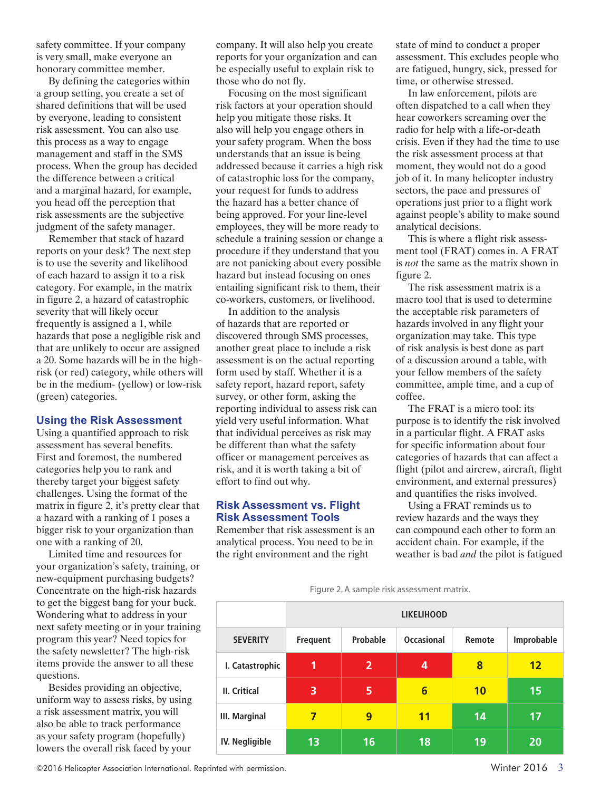safety committee. If your company is very small, make everyone an honorary committee member.

By defining the categories within a group setting, you create a set of shared definitions that will be used by everyone, leading to consistent risk assessment. You can also use this process as a way to engage management and staff in the SMS process. When the group has decided the difference between a critical and a marginal hazard, for example, you head off the perception that risk assessments are the subjective judgment of the safety manager.

Remember that stack of hazard reports on your desk? The next step is to use the severity and likelihood of each hazard to assign it to a risk category. For example, in the matrix in figure 2, a hazard of catastrophic severity that will likely occur frequently is assigned a 1, while hazards that pose a negligible risk and that are unlikely to occur are assigned a 20. Some hazards will be in the highrisk (or red) category, while others will be in the medium- (yellow) or low-risk (green) categories.

#### **Using the Risk Assessment**

Using a quantified approach to risk assessment has several benefits. First and foremost, the numbered categories help you to rank and thereby target your biggest safety challenges. Using the format of the matrix in figure 2, it's pretty clear that a hazard with a ranking of 1 poses a bigger risk to your organization than one with a ranking of 20.

Limited time and resources for your organization's safety, training, or new-equipment purchasing budgets? Concentrate on the high-risk hazards to get the biggest bang for your buck. Wondering what to address in your next safety meeting or in your training program this year? Need topics for the safety newsletter? The high-risk items provide the answer to all these questions.

Besides providing an objective, uniform way to assess risks, by using a risk assessment matrix, you will also be able to track performance as your safety program (hopefully) lowers the overall risk faced by your

company. It will also help you create reports for your organization and can be especially useful to explain risk to those who do not fly.

Focusing on the most significant risk factors at your operation should help you mitigate those risks. It also will help you engage others in your safety program. When the boss understands that an issue is being addressed because it carries a high risk of catastrophic loss for the company, your request for funds to address the hazard has a better chance of being approved. For your line-level employees, they will be more ready to schedule a training session or change a procedure if they understand that you are not panicking about every possible hazard but instead focusing on ones entailing significant risk to them, their co-workers, customers, or livelihood.

In addition to the analysis of hazards that are reported or discovered through SMS processes, another great place to include a risk assessment is on the actual reporting form used by staff. Whether it is a safety report, hazard report, safety survey, or other form, asking the reporting individual to assess risk can yield very useful information. What that individual perceives as risk may be different than what the safety officer or management perceives as risk, and it is worth taking a bit of effort to find out why.

#### **Risk Assessment vs. Flight Risk Assessment Tools**

Remember that risk assessment is an analytical process. You need to be in the right environment and the right

state of mind to conduct a proper assessment. This excludes people who are fatigued, hungry, sick, pressed for time, or otherwise stressed.

In law enforcement, pilots are often dispatched to a call when they hear coworkers screaming over the radio for help with a life-or-death crisis. Even if they had the time to use the risk assessment process at that moment, they would not do a good job of it. In many helicopter industry sectors, the pace and pressures of operations just prior to a flight work against people's ability to make sound analytical decisions.

This is where a flight risk assessment tool (FRAT) comes in. A FRAT is *not* the same as the matrix shown in figure 2.

The risk assessment matrix is a macro tool that is used to determine the acceptable risk parameters of hazards involved in any flight your organization may take. This type of risk analysis is best done as part of a discussion around a table, with your fellow members of the safety committee, ample time, and a cup of coffee.

The FRAT is a micro tool: its purpose is to identify the risk involved in a particular flight. A FRAT asks for specific information about four categories of hazards that can affect a flight (pilot and aircrew, aircraft, flight environment, and external pressures) and quantifies the risks involved.

Using a FRAT reminds us to review hazards and the ways they can compound each other to form an accident chain. For example, if the weather is bad *and* the pilot is fatigued

Figure 2. A sample risk assessment matrix.

|                      | <b>LIKELIHOOD</b> |                |                   |        |            |
|----------------------|-------------------|----------------|-------------------|--------|------------|
| <b>SEVERITY</b>      | <b>Frequent</b>   | Probable       | <b>Occasional</b> | Remote | Improbable |
| I. Catastrophic      | 1                 | $\overline{2}$ | 4                 | 8      | 12         |
| <b>II.</b> Critical  | 3                 | 5              | $6\phantom{1}6$   | 10     | 15         |
| <b>III. Marginal</b> | 7                 | 9              | 11                | 14     | 17         |
| IV. Negligible       | 13                | 16             | 18                | 19     | 20         |

©2016 Helicopter Association International. Reprinted with permission. Winter 2016 3